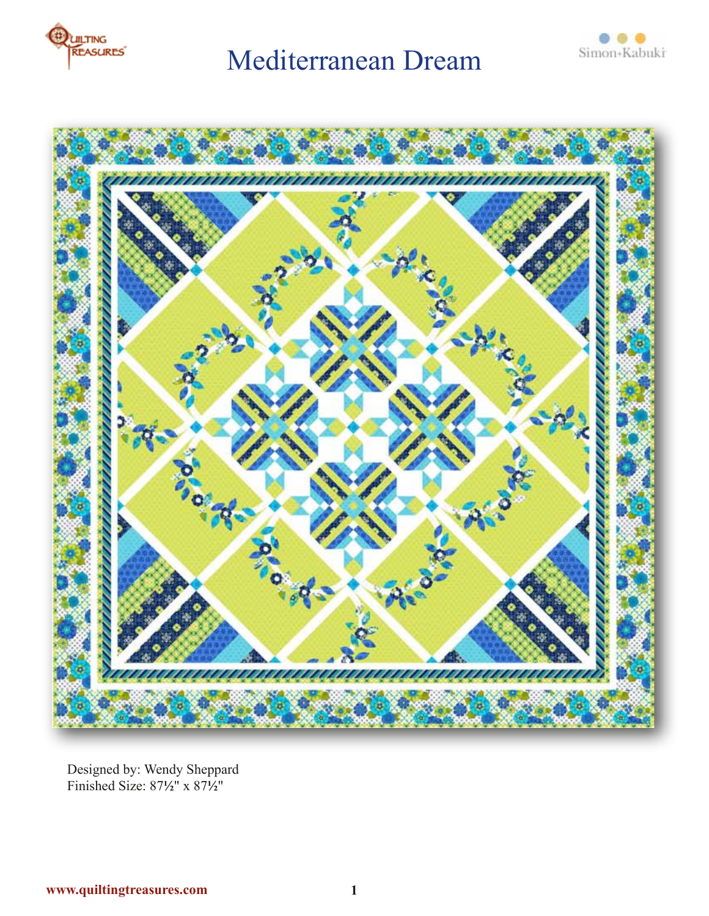





Designed by: Wendy Sheppard Finished Size: 87**½**" x 87**½**"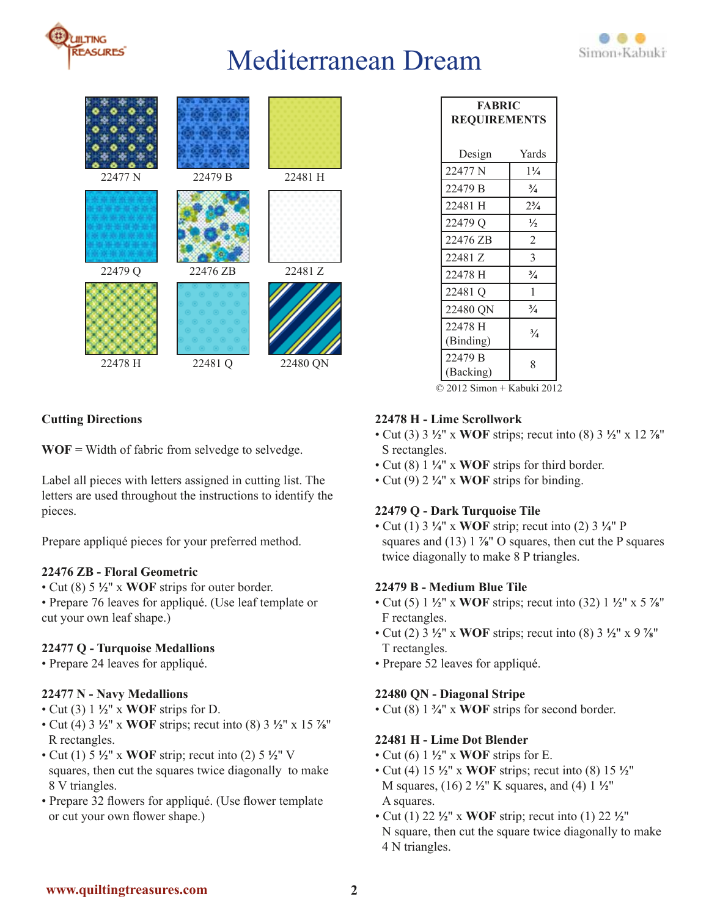





### **Cutting Directions**

**WOF** = Width of fabric from selvedge to selvedge.

Label all pieces with letters assigned in cutting list. The letters are used throughout the instructions to identify the pieces.

Prepare appliqué pieces for your preferred method.

#### **22476 ZB - Floral Geometric**

- Cut (8) 5 **½**" x **WOF** strips for outer border.
- Prepare 76 leaves for appliqué. (Use leaf template or cut your own leaf shape.)

### **22477 Q - Turquoise Medallions**

• Prepare 24 leaves for appliqué.

### **22477 N - Navy Medallions**

- Cut (3) 1 **½**" x **WOF** strips for D.
- Cut (4) 3 **½**" x **WOF** strips; recut into (8) 3 **½**" x 15 **⅞**" R rectangles.
- Cut (1) 5 **½**" x **WOF** strip; recut into (2) 5 **½**" V squares, then cut the squares twice diagonally to make 8 V triangles.
- Prepare 32 flowers for appliqué. (Use flower template or cut your own flower shape.)

| <b>FABRIC</b><br><b>REQUIREMENTS</b> |                |
|--------------------------------------|----------------|
| Design                               | Yards          |
| 22477 N                              | $1\frac{1}{4}$ |
| 22479 B                              | $\frac{3}{4}$  |
| 22481 H                              | $2^{3}/_{4}$   |
| 22479 O                              | $\frac{1}{2}$  |
| 22476 ZB                             | 2              |
| 22481 Z                              | 3              |
| 22478 H                              | $\frac{3}{4}$  |
| 22481 O                              | 1              |
| 22480 QN                             | $^{3}/_{4}$    |
| 22478 H                              | $^{3}/_{4}$    |
| (Binding)                            |                |
| 22479 B                              | 8              |
| (Backing)                            |                |

#### © 2012 Simon + Kabuki 2012

### **22478 H - Lime Scrollwork**

- Cut (3) 3 **½**" x **WOF** strips; recut into (8) 3 **½**" x 12 **⅞**" S rectangles.
- Cut (8) 1 **¼**" x **WOF** strips for third border.
- Cut (9) 2 **¼**" x **WOF** strips for binding.

### **22479 Q - Dark Turquoise Tile**

• Cut (1) 3 **¼**" x **WOF** strip; recut into (2) 3 **¼**" P squares and (13) 1 **⅞**" O squares, then cut the P squares twice diagonally to make 8 P triangles.

### **22479 B - Medium Blue Tile**

- Cut (5) 1 **½**" x **WOF** strips; recut into (32) 1 **½**" x 5 **⅞**" F rectangles.
- Cut (2) 3 **½**" x **WOF** strips; recut into (8) 3 **½**" x 9 **⅞**" T rectangles.
- Prepare 52 leaves for appliqué.

#### **22480 QN - Diagonal Stripe**

• Cut (8) 1 **¾**" x **WOF** strips for second border.

#### **22481 H - Lime Dot Blender**

- Cut (6) 1 **½**" x **WOF** strips for E.
- Cut (4) 15 **½**" x **WOF** strips; recut into (8) 15 **½**" M squares, (16) 2 **½**" K squares, and (4) 1 **½**" A squares.
- Cut (1) 22 **½**" x **WOF** strip; recut into (1) 22 **½**" N square, then cut the square twice diagonally to make 4 N triangles.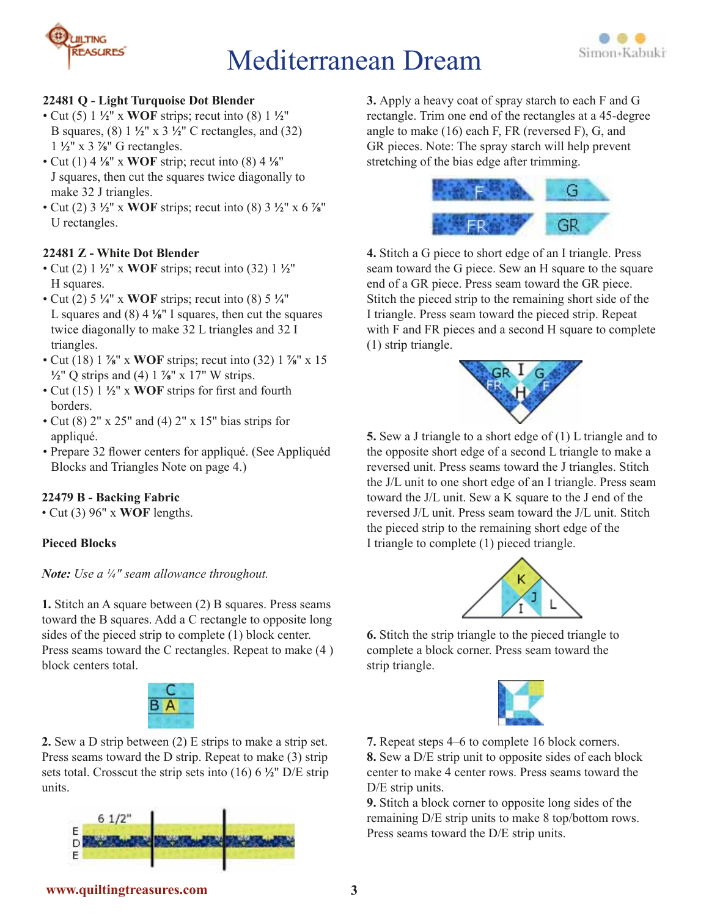



#### **22481 Q - Light Turquoise Dot Blender**

- Cut (5) 1 **½**" x **WOF** strips; recut into (8) 1 **½**" B squares, (8) 1 **½**" x 3 **½**" C rectangles, and (32) 1 **½**" x 3 **⅞**" G rectangles.
- Cut (1) 4 **⅛**" x **WOF** strip; recut into (8) 4 **⅛**" J squares, then cut the squares twice diagonally to make 32 J triangles.
- Cut (2) 3 **½**" x **WOF** strips; recut into (8) 3 **½**" x 6 **⅞**" U rectangles.

#### **22481 Z - White Dot Blender**

- Cut (2) 1 **½**" x **WOF** strips; recut into (32) 1 **½**" H squares.
- Cut (2) 5 **¼**" x **WOF** strips; recut into (8) 5 **¼**" L squares and (8) 4 **⅛**" I squares, then cut the squares twice diagonally to make 32 L triangles and 32 I triangles.
- Cut (18) 1 **⅞**" x **WOF** strips; recut into (32) 1 **⅞**" x 15 **½**" Q strips and (4) 1 **⅞**" x 17" W strips.
- Cut (15) 1 **½**" x **WOF** strips for first and fourth borders.
- Cut (8)  $2'' \times 25''$  and (4)  $2'' \times 15''$  bias strips for appliqué.
- Prepare 32 flower centers for appliqué. (See Appliquéd Blocks and Triangles Note on page 4.)

#### **22479 B - Backing Fabric**

• Cut (3) 96" x **WOF** lengths.

#### **Pieced Blocks**

*Note: Use a ¼" seam allowance throughout.*

**1.** Stitch an A square between (2) B squares. Press seams toward the B squares. Add a C rectangle to opposite long sides of the pieced strip to complete (1) block center. Press seams toward the C rectangles. Repeat to make (4 ) block centers total.



**2.** Sew a D strip between (2) E strips to make a strip set. Press seams toward the D strip. Repeat to make (3) strip sets total. Crosscut the strip sets into (16) 6 **½**" D/E strip units.



**3.** Apply a heavy coat of spray starch to each F and G rectangle. Trim one end of the rectangles at a 45-degree angle to make (16) each F, FR (reversed F), G, and GR pieces. Note: The spray starch will help prevent stretching of the bias edge after trimming.



**4.** Stitch a G piece to short edge of an I triangle. Press seam toward the G piece. Sew an H square to the square end of a GR piece. Press seam toward the GR piece. Stitch the pieced strip to the remaining short side of the I triangle. Press seam toward the pieced strip. Repeat with F and FR pieces and a second H square to complete (1) strip triangle.



**5.** Sew a J triangle to a short edge of (1) L triangle and to the opposite short edge of a second L triangle to make a reversed unit. Press seams toward the J triangles. Stitch the J/L unit to one short edge of an I triangle. Press seam toward the J/L unit. Sew a K square to the J end of the reversed J/L unit. Press seam toward the J/L unit. Stitch the pieced strip to the remaining short edge of the I triangle to complete (1) pieced triangle.



**6.** Stitch the strip triangle to the pieced triangle to complete a block corner. Press seam toward the strip triangle.



**7.** Repeat steps 4–6 to complete 16 block corners. **8.** Sew a D/E strip unit to opposite sides of each block center to make 4 center rows. Press seams toward the D/E strip units.

**9.** Stitch a block corner to opposite long sides of the remaining D/E strip units to make 8 top/bottom rows. Press seams toward the D/E strip units.

#### **www.quiltingtreasures.com 3**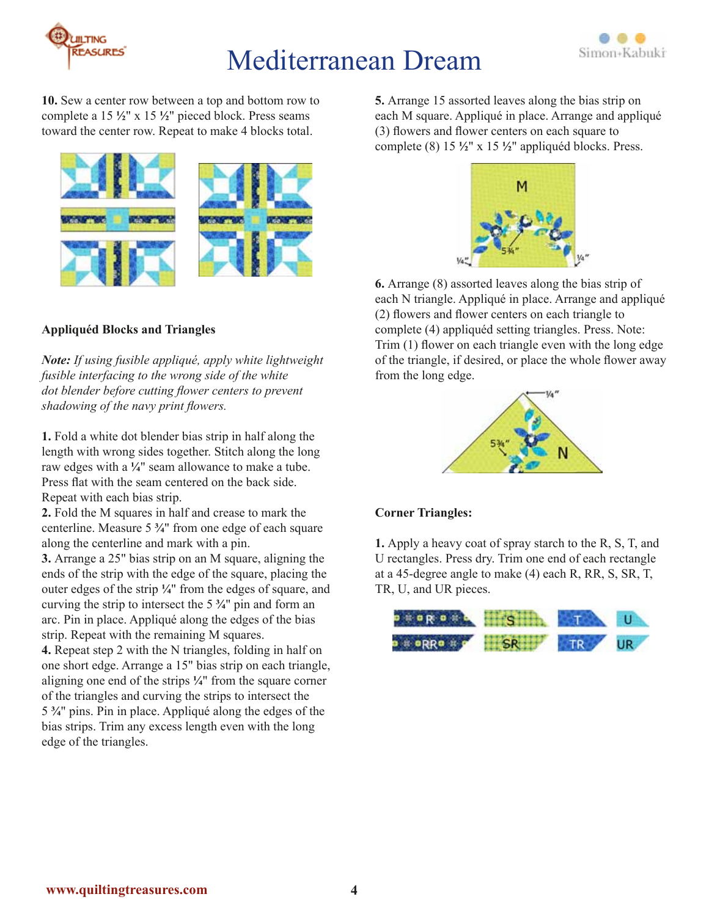



**10.** Sew a center row between a top and bottom row to complete a 15 **½**" x 15 **½**" pieced block. Press seams toward the center row. Repeat to make 4 blocks total.



### **Appliquéd Blocks and Triangles**

*Note: If using fusible appliqué, apply white lightweight fusible interfacing to the wrong side of the white dot blender before cutting flower centers to prevent shadowing of the navy print flowers.*

**1.** Fold a white dot blender bias strip in half along the length with wrong sides together. Stitch along the long raw edges with a **¼**" seam allowance to make a tube. Press flat with the seam centered on the back side. Repeat with each bias strip.

**2.** Fold the M squares in half and crease to mark the centerline. Measure 5 **¾**" from one edge of each square along the centerline and mark with a pin.

**3.** Arrange a 25" bias strip on an M square, aligning the ends of the strip with the edge of the square, placing the outer edges of the strip **¼**" from the edges of square, and curving the strip to intersect the 5 **¾**" pin and form an arc. Pin in place. Appliqué along the edges of the bias strip. Repeat with the remaining M squares.

**4.** Repeat step 2 with the N triangles, folding in half on one short edge. Arrange a 15" bias strip on each triangle, aligning one end of the strips **¼**" from the square corner of the triangles and curving the strips to intersect the 5 **¾**" pins. Pin in place. Appliqué along the edges of the bias strips. Trim any excess length even with the long edge of the triangles.

**5.** Arrange 15 assorted leaves along the bias strip on each M square. Appliqué in place. Arrange and appliqué (3) flowers and flower centers on each square to complete (8) 15 **½**" x 15 **½**" appliquéd blocks. Press.



**6.** Arrange (8) assorted leaves along the bias strip of each N triangle. Appliqué in place. Arrange and appliqué (2) flowers and flower centers on each triangle to complete (4) appliquéd setting triangles. Press. Note: Trim (1) flower on each triangle even with the long edge of the triangle, if desired, or place the whole flower away from the long edge.



#### **Corner Triangles:**

**1.** Apply a heavy coat of spray starch to the R, S, T, and U rectangles. Press dry. Trim one end of each rectangle at a 45-degree angle to make (4) each R, RR, S, SR, T, TR, U, and UR pieces.

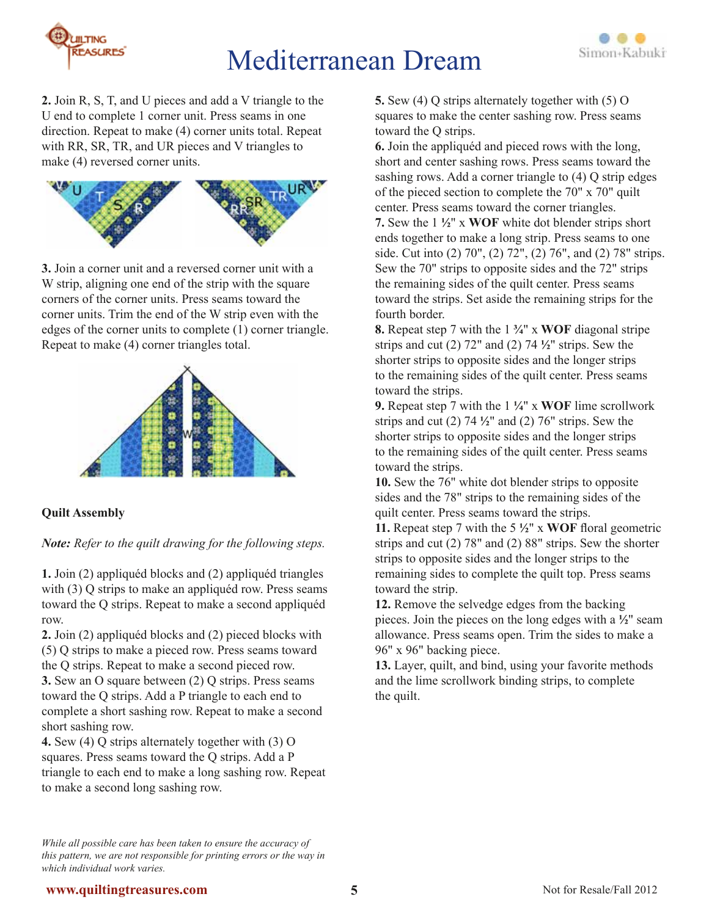



**2.** Join R, S, T, and U pieces and add a V triangle to the U end to complete 1 corner unit. Press seams in one direction. Repeat to make (4) corner units total. Repeat with RR, SR, TR, and UR pieces and V triangles to make (4) reversed corner units.



**3.** Join a corner unit and a reversed corner unit with a W strip, aligning one end of the strip with the square corners of the corner units. Press seams toward the corner units. Trim the end of the W strip even with the edges of the corner units to complete (1) corner triangle. Repeat to make (4) corner triangles total.



### **Quilt Assembly**

*Note: Refer to the quilt drawing for the following steps.*

**1.** Join (2) appliquéd blocks and (2) appliquéd triangles with (3) Q strips to make an appliquéd row. Press seams toward the Q strips. Repeat to make a second appliquéd row.

**2.** Join (2) appliquéd blocks and (2) pieced blocks with (5) Q strips to make a pieced row. Press seams toward the Q strips. Repeat to make a second pieced row. **3.** Sew an O square between (2) Q strips. Press seams toward the Q strips. Add a P triangle to each end to complete a short sashing row. Repeat to make a second short sashing row.

**4.** Sew (4) Q strips alternately together with (3) O squares. Press seams toward the Q strips. Add a P triangle to each end to make a long sashing row. Repeat to make a second long sashing row.

**5.** Sew (4) Q strips alternately together with (5) O squares to make the center sashing row. Press seams toward the Q strips.

**6.** Join the appliquéd and pieced rows with the long, short and center sashing rows. Press seams toward the sashing rows. Add a corner triangle to (4) Q strip edges of the pieced section to complete the 70" x 70" quilt center. Press seams toward the corner triangles. **7.** Sew the 1 **½**" x **WOF** white dot blender strips short ends together to make a long strip. Press seams to one side. Cut into (2) 70", (2) 72", (2) 76", and (2) 78" strips. Sew the 70" strips to opposite sides and the 72" strips the remaining sides of the quilt center. Press seams toward the strips. Set aside the remaining strips for the fourth border.

**8.** Repeat step 7 with the 1 **¾**" x **WOF** diagonal stripe strips and cut (2) 72" and (2) 74 **½**" strips. Sew the shorter strips to opposite sides and the longer strips to the remaining sides of the quilt center. Press seams toward the strips.

**9.** Repeat step 7 with the 1 **¼**" x **WOF** lime scrollwork strips and cut (2) 74 **½**" and (2) 76" strips. Sew the shorter strips to opposite sides and the longer strips to the remaining sides of the quilt center. Press seams toward the strips.

**10.** Sew the 76" white dot blender strips to opposite sides and the 78" strips to the remaining sides of the quilt center. Press seams toward the strips.

**11.** Repeat step 7 with the 5 **½**" x **WOF** floral geometric strips and cut (2) 78" and (2) 88" strips. Sew the shorter strips to opposite sides and the longer strips to the remaining sides to complete the quilt top. Press seams toward the strip.

**12.** Remove the selvedge edges from the backing pieces. Join the pieces on the long edges with a **½**" seam allowance. Press seams open. Trim the sides to make a 96" x 96" backing piece.

**13.** Layer, quilt, and bind, using your favorite methods and the lime scrollwork binding strips, to complete the quilt.

*While all possible care has been taken to ensure the accuracy of this pattern, we are not responsible for printing errors or the way in which individual work varies.*